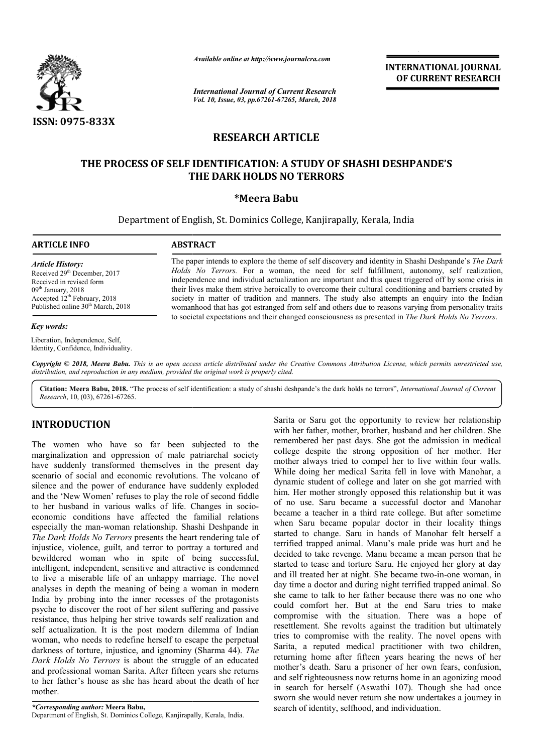

*Available online at http://www.journalcra.com*

*International Journal of Current Research Vol. 10, Issue, 03, pp.67261-67265, March, 2018* **INTERNATIONAL JOURNAL OF CURRENT RESEARCH**

# **RESEARCH ARTICLE**

## **THE PROCESS OF SELF IDENTIFICATION: A STUDY OF SHASHI DESHPANDE'S IDENTIFICATION: A THE DARK HOLDS NO TERRORS**

#### **\*Meera Babu**

Department of English, St. Dominics College, Kanjirapally, Kerala, India Department of English, St.

#### **ARTICLE INFO ABSTRACT**

Received 29<sup>th</sup> December, 2017 Received in revised form 09<sup>th</sup> January, 2018

Accepted 12<sup>th</sup> February, 2018 Published online 30<sup>th</sup> March, 2018

*Article History:*

*Key words:*

The paper intends to explore the theme of self discovery and identity in Shashi Deshpande's The Dark *Holds No Terrors Terrors.* For a woman, the need for self fulfillment, autonomy, self realization, independence and individual actualization are important and this quest triggered off by some crisis in their lives make them strive heroically to overcome their cultural conditioning and barriers created by society in matter of tradition and manners. The study also attempts an enquiry into the Indian womanhood that has got estranged from self and others due to reasons varying from personality traits womanhood that has got estranged from self and others due to reasons varying from personality traits to societal expectations and their changed consciousness as presented in *The Dark Holds No Terrors*. *Holds No Terrors*. For a woman, the need for self fulfillment, autonomy, self realization, independence and individual actualization are important and this quest triggered off by some crisis in their lives make them striv

Liberation, Independence, Self, Identity, Confidence, Individuality.

Copyright © 2018, Meera Babu. This is an open access article distributed under the Creative Commons Attribution License, which permits unrestricted use, *distribution, and reproduction in any medium, provided the original work is properly cited.*

Citation: Meera Babu, 2018. "The process of self identification: a study of shashi deshpande's the dark holds no terrors", *International Journal of Current Research*, 10, (03), 67261-67265.

### **INTRODUCTION**

The women who have so far been subjected to the marginalization and oppression of male patriarchal society have suddenly transformed themselves in the present day scenario of social and economic revolutions. The volcano of silence and the power of endurance have suddenly exploded and the 'New Women' refuses to play the role of second fiddle to her husband in various walks of life. Changes in socio economic conditions have affected the familial relations especially the man-woman relationship. Shashi Deshpande in *The Dark Holds No Terrors* presents the heart rendering tale of injustice, violence, guilt, and terror to portray a tortured and bewildered woman who in spite of being successful, intelligent, independent, sensitive and attractive is condemned to live a miserable life of an unhappy marriage. The novel analyses in depth the meaning of being a woman in modern India by probing into the inner recesses of the protagonists psyche to discover the root of her silent suffering and passive resistance, thus helping her strive towards self realization and g self actualization. It is the post modern dilemma of Indian woman, who needs to redefine herself to escape the perpetual darkness of torture, injustice, and ignominy (Sharma 44). *The Dark Holds No Terrors* is about the struggle of an educated and professional woman Sarita. After fifteen years she returns to her father's house as she has heard about the death of her mother. e have suddenly exploded<br>ay the role of second fiddle<br>of life. Changes in socio-

*\*Corresponding author:* **Meera Babu,** Department of English, St. Dominics College, Kanjirapally, Kerala, India. Sarita or Saru got the opportunity to review her relationship with her father, mother, brother, husband and her children. She remembered her past days. She got the admission in medical college despite the strong opposition of her mother. Her mother always tried to compel her to live within four walls. While doing her medical Sarita fell in love with Manohar, a dynamic student of college and later on she got married with him. Her mother strongly opposed this relationship but it was of no use. Saru became a successful doctor and Manohar became a teacher in a third rate college. But after sometime when Saru became popular doctor in their locality things started to change. Saru in hands of Manohar felt herself a terrified trapped animal. Manu's male pride was hurt and he decided to take revenge. Manu became a mean person that he started to tease and torture Saru. He enjoyed her glory at day and ill treated her at night. She became two-in-one woman, in day time a doctor and during night terrified trapped animal. So she came to talk to her father because there was no one who could comfort her. But at the end Saru tries to make compromise with the situation. There was a hope of she came to talk to her father because there was no one who could comfort her. But at the end Saru tries to make compromise with the situation. There was a hope of resettlement. She revolts against the tradition but ultima tries to compromise with the reality. The novel opens with Sarita, a reputed medical practitioner with two children, returning home after fifteen years hearing the news of her mother's death. Saru a prisoner of her own fears, confusion, and self righteousness now returns home in an agonizing mood in search for herself (Aswathi 107). Though she had once sworn she would never return she now undertakes a journey in search of identity, selfhood, and individuation. Sarita or Saru got the opportunity to review her relationship with her father, mother, brother, husband and her children. She remembered her past days. She got the admission in medical college despite the strong opposition ied to compel her to live within four walls.<br>medical Sarita fell in love with Manohar, a<br>of college and later on she got married with<br>strongly opposed this relationship but it was use. Saru became a successful doctor and Manohar<br>me a teacher in a third rate college. But after sometime<br>n Saru became popular doctor in their locality things<br>ed to change. Saru in hands of Manohar felt herself a<br>fied tra reputed medical practitioner with two child<br>home after fifteen years hearing the news of<br>death. Saru a prisoner of her own fears, confus<br>ighteousness now returns home in an agonizing m<br>for herself (Aswathi 107). Though she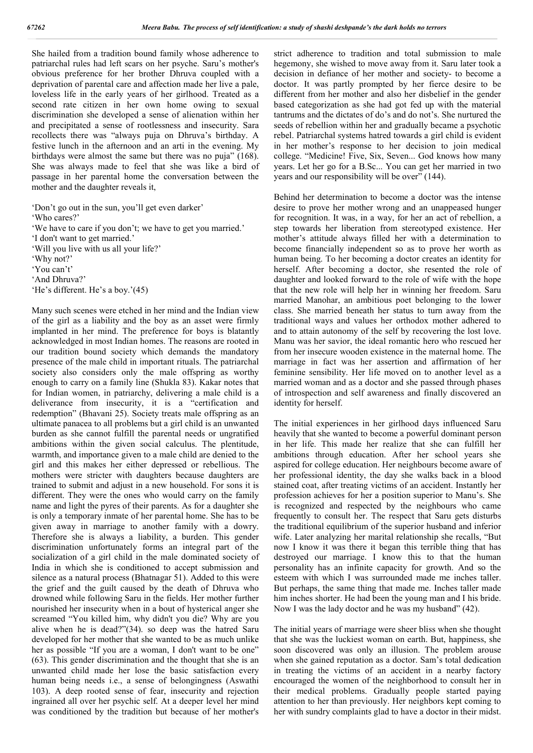She hailed from a tradition bound family whose adherence to patriarchal rules had left scars on her psyche. Saru's mother's obvious preference for her brother Dhruva coupled with a deprivation of parental care and affection made her live a pale, loveless life in the early years of her girlhood. Treated as a second rate citizen in her own home owing to sexual discrimination she developed a sense of alienation within her and precipitated a sense of rootlessness and insecurity. Sara recollects there was "always puja on Dhruva's birthday. A festive lunch in the afternoon and an arti in the evening. My birthdays were almost the same but there was no puja" (168). She was always made to feel that she was like a bird of passage in her parental home the conversation between the mother and the daughter reveals it,

'Don't go out in the sun, you'll get even darker' 'Who cares?'

'We have to care if you don't; we have to get you married.'

'I don't want to get married.'

'Will you live with us all your life?'

'Why not?'

'You can't'

'And Dhruva?'

'He's different. He's a boy.'(45)

Many such scenes were etched in her mind and the Indian view of the girl as a liability and the boy as an asset were firmly implanted in her mind. The preference for boys is blatantly acknowledged in most Indian homes. The reasons are rooted in our tradition bound society which demands the mandatory presence of the male child in important rituals. The patriarchal society also considers only the male offspring as worthy enough to carry on a family line (Shukla 83). Kakar notes that for Indian women, in patriarchy, delivering a male child is a deliverance from insecurity, it is a "certification and redemption" (Bhavani 25). Society treats male offspring as an ultimate panacea to all problems but a girl child is an unwanted burden as she cannot fulfill the parental needs or ungratified ambitions within the given social calculus. The plentitude, warmth, and importance given to a male child are denied to the girl and this makes her either depressed or rebellious. The mothers were stricter with daughters because daughters are trained to submit and adjust in a new household. For sons it is different. They were the ones who would carry on the family name and light the pyres of their parents. As for a daughter she is only a temporary inmate of her parental home. She has to be given away in marriage to another family with a dowry. Therefore she is always a liability, a burden. This gender discrimination unfortunately forms an integral part of the socialization of a girl child in the male dominated society of India in which she is conditioned to accept submission and silence as a natural process (Bhatnagar 51). Added to this were the grief and the guilt caused by the death of Dhruva who drowned while following Saru in the fields. Her mother further nourished her insecurity when in a bout of hysterical anger she screamed "You killed him, why didn't you die? Why are you alive when he is dead?"(34). so deep was the hatred Saru developed for her mother that she wanted to be as much unlike her as possible "If you are a woman, I don't want to be one" (63). This gender discrimination and the thought that she is an unwanted child made her lose the basic satisfaction every human being needs i.e., a sense of belongingness (Aswathi 103). A deep rooted sense of fear, insecurity and rejection ingrained all over her psychic self. At a deeper level her mind was conditioned by the tradition but because of her mother's

strict adherence to tradition and total submission to male hegemony, she wished to move away from it. Saru later took a decision in defiance of her mother and society- to become a doctor. It was partly prompted by her fierce desire to be different from her mother and also her disbelief in the gender based categorization as she had got fed up with the material tantrums and the dictates of do's and do not's. She nurtured the seeds of rebellion within her and gradually became a psychotic rebel. Patriarchal systems hatred towards a girl child is evident in her mother's response to her decision to join medical college. "Medicine! Five, Six, Seven... God knows how many years. Let her go for a B.Sc... You can get her married in two years and our responsibility will be over" (144).

Behind her determination to become a doctor was the intense desire to prove her mother wrong and an unappeased hunger for recognition. It was, in a way, for her an act of rebellion, a step towards her liberation from stereotyped existence. Her mother's attitude always filled her with a determination to become financially independent so as to prove her worth as human being. To her becoming a doctor creates an identity for herself. After becoming a doctor, she resented the role of daughter and looked forward to the role of wife with the hope that the new role will help her in winning her freedom. Saru married Manohar, an ambitious poet belonging to the lower class. She married beneath her status to turn away from the traditional ways and values her orthodox mother adhered to and to attain autonomy of the self by recovering the lost love. Manu was her savior, the ideal romantic hero who rescued her from her insecure wooden existence in the maternal home. The marriage in fact was her assertion and affirmation of her feminine sensibility. Her life moved on to another level as a married woman and as a doctor and she passed through phases of introspection and self awareness and finally discovered an identity for herself.

The initial experiences in her girlhood days influenced Saru heavily that she wanted to become a powerful dominant person in her life. This made her realize that she can fulfill her ambitions through education. After her school years she aspired for college education. Her neighbours become aware of her professional identity, the day she walks back in a blood stained coat, after treating victims of an accident. Instantly her profession achieves for her a position superior to Manu's. She is recognized and respected by the neighbours who came frequently to consult her. The respect that Saru gets disturbs the traditional equilibrium of the superior husband and inferior wife. Later analyzing her marital relationship she recalls, "But now I know it was there it began this terrible thing that has destroyed our marriage. I know this to that the human personality has an infinite capacity for growth. And so the esteem with which I was surrounded made me inches taller. But perhaps, the same thing that made me. Inches taller made him inches shorter. He had been the young man and I his bride. Now I was the lady doctor and he was my husband" (42).

The initial years of marriage were sheer bliss when she thought that she was the luckiest woman on earth. But, happiness, she soon discovered was only an illusion. The problem arouse when she gained reputation as a doctor. Sam's total dedication in treating the victims of an accident in a nearby factory encouraged the women of the neighborhood to consult her in their medical problems. Gradually people started paying attention to her than previously. Her neighbors kept coming to her with sundry complaints glad to have a doctor in their midst.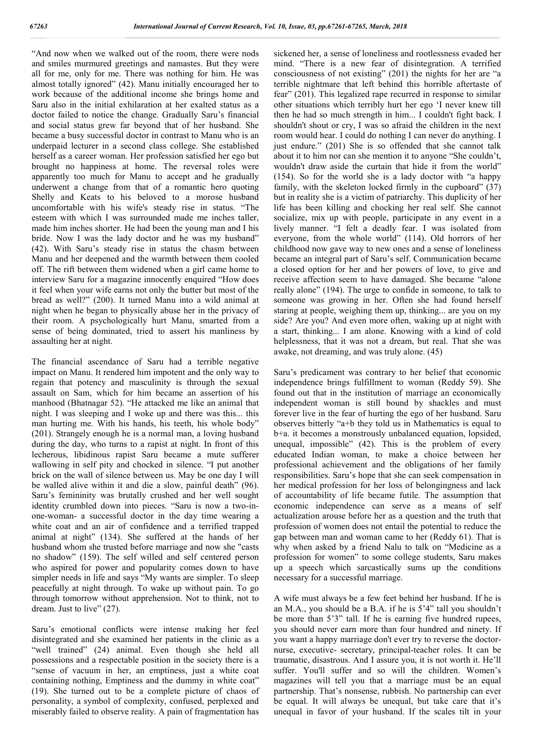"And now when we walked out of the room, there were nods and smiles murmured greetings and namastes. But they were all for me, only for me. There was nothing for him. He was almost totally ignored" (42). Manu initially encouraged her to work because of the additional income she brings home and Saru also in the initial exhilaration at her exalted status as a doctor failed to notice the change. Gradually Saru's financial and social status grew far beyond that of her husband. She became a busy successful doctor in contrast to Manu who is an underpaid lecturer in a second class college. She established herself as a career woman. Her profession satisfied her ego but brought no happiness at home. The reversal roles were apparently too much for Manu to accept and he gradually underwent a change from that of a romantic hero quoting Shelly and Keats to his beloved to a morose husband uncomfortable with his wife's steady rise in status. "The esteem with which I was surrounded made me inches taller, made him inches shorter. He had been the young man and I his bride. Now I was the lady doctor and he was my husband" (42). With Saru's steady rise in status the chasm between Manu and her deepened and the warmth between them cooled off. The rift between them widened when a girl came home to interview Saru for a magazine innocently enquired "How does it feel when your wife earns not only the butter but most of the bread as well?" (200). It turned Manu into a wild animal at night when he began to physically abuse her in the privacy of their room. A psychologically hurt Manu, smarted from a sense of being dominated, tried to assert his manliness by assaulting her at night.

The financial ascendance of Saru had a terrible negative impact on Manu. It rendered him impotent and the only way to regain that potency and masculinity is through the sexual assault on Sam, which for him became an assertion of his manhood (Bhatnagar 52). "He attacked me like an animal that night. I was sleeping and I woke up and there was this... this man hurting me. With his hands, his teeth, his whole body" (201). Strangely enough he is a normal man, a loving husband during the day, who turns to a rapist at night. In front of this lecherous, libidinous rapist Saru became a mute sufferer wallowing in self pity and chocked in silence. "I put another brick on the wall of silence between us. May be one day I will be walled alive within it and die a slow, painful death" (96). Saru's femininity was brutally crushed and her well sought identity crumbled down into pieces. "Saru is now a two-inone-woman- a successful doctor in the day time wearing a white coat and an air of confidence and a terrified trapped animal at night" (134). She suffered at the hands of her husband whom she trusted before marriage and now she "casts no shadow" (159). The self willed and self centered person who aspired for power and popularity comes down to have simpler needs in life and says "My wants are simpler. To sleep peacefully at night through. To wake up without pain. To go through tomorrow without apprehension. Not to think, not to dream. Just to live" (27).

Saru's emotional conflicts were intense making her feel disintegrated and she examined her patients in the clinic as a "well trained" (24) animal. Even though she held all possessions and a respectable position in the society there is a "sense of vacuum in her, an emptiness, just a white coat containing nothing, Emptiness and the dummy in white coat" (19). She turned out to be a complete picture of chaos of personality, a symbol of complexity, confused, perplexed and miserably failed to observe reality. A pain of fragmentation has

sickened her, a sense of loneliness and rootlessness evaded her mind. "There is a new fear of disintegration. A terrified consciousness of not existing" (201) the nights for her are "a terrible nightmare that left behind this horrible aftertaste of fear" (201). This legalized rape recurred in response to similar other situations which terribly hurt her ego 'I never knew till then he had so much strength in him... I couldn't fight back. I shouldn't shout or cry, I was so afraid the children in the next room would hear. I could do nothing I can never do anything. I just endure." (201) She is so offended that she cannot talk about it to him nor can she mention it to anyone "She couldn't, wouldn't draw aside the curtain that hide it from the world" (154). So for the world she is a lady doctor with "a happy family, with the skeleton locked firmly in the cupboard" (37) but in reality she is a victim of patriarchy. This duplicity of her life has been killing and chocking her real self. She cannot socialize, mix up with people, participate in any event in a lively manner. "I felt a deadly fear. I was isolated from everyone, from the whole world" (114). Old horrors of her childhood now gave way to new ones and a sense of loneliness became an integral part of Saru's self. Communication became a closed option for her and her powers of love, to give and receive affection seem to have damaged. She became "alone really alone" (194). The urge to confide in someone, to talk to someone was growing in her. Often she had found herself staring at people, weighing them up, thinking... are you on my side? Are you? And even more often, waking up at night with a start, thinking... I am alone. Knowing with a kind of cold helplessness, that it was not a dream, but real. That she was awake, not dreaming, and was truly alone. (45)

Saru's predicament was contrary to her belief that economic independence brings fulfillment to woman (Reddy 59). She found out that in the institution of marriage an economically independent woman is still bound by shackles and must forever live in the fear of hurting the ego of her husband. Saru observes bitterly "a+b they told us in Mathematics is equal to b+a. it becomes a monstrously unbalanced equation, lopsided, unequal, impossible" (42). This is the problem of every educated Indian woman, to make a choice between her professional achievement and the obligations of her family responsibilities. Saru's hope that she can seek compensation in her medical profession for her loss of belongingness and lack of accountability of life became futile. The assumption that economic independence can serve as a means of self actualization arouse before her as a question and the truth that profession of women does not entail the potential to reduce the gap between man and woman came to her (Reddy 61). That is why when asked by a friend Nalu to talk on "Medicine as a profession for women" to some college students, Saru makes up a speech which sarcastically sums up the conditions necessary for a successful marriage.

A wife must always be a few feet behind her husband. If he is an M.A., you should be a B.A. if he is 5'4" tall you shouldn't be more than 5'3" tall. If he is earning five hundred rupees, you should never earn more than four hundred and ninety. If you want a happy marriage don't ever try to reverse the doctornurse, executive- secretary, principal-teacher roles. It can be traumatic, disastrous. And I assure you, it is not worth it. He'll suffer. You'll suffer and so will the children. Women's magazines will tell you that a marriage must be an equal partnership. That's nonsense, rubbish. No partnership can ever be equal. It will always be unequal, but take care that it's unequal in favor of your husband. If the scales tilt in your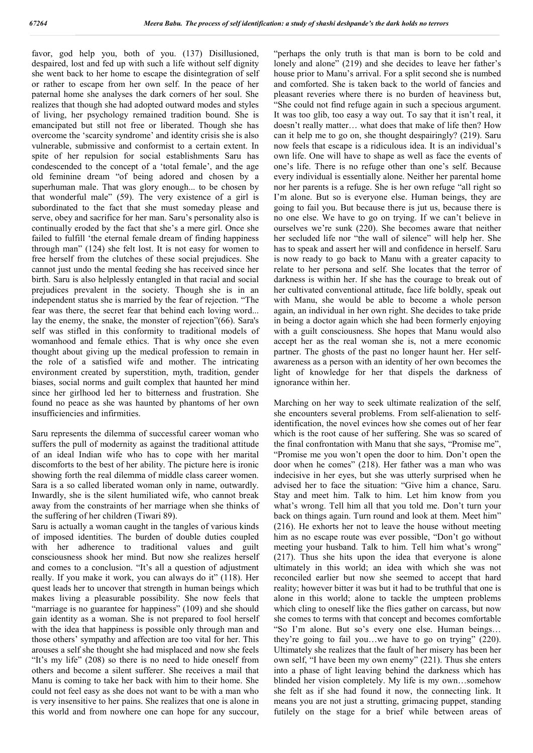favor, god help you, both of you. (137) Disillusioned, despaired, lost and fed up with such a life without self dignity she went back to her home to escape the disintegration of self or rather to escape from her own self. In the peace of her paternal home she analyses the dark corners of her soul. She realizes that though she had adopted outward modes and styles of living, her psychology remained tradition bound. She is emancipated but still not free or liberated. Though she has overcome the 'scarcity syndrome' and identity crisis she is also vulnerable, submissive and conformist to a certain extent. In spite of her repulsion for social establishments Saru has condescended to the concept of a 'total female', and the age old feminine dream "of being adored and chosen by a superhuman male. That was glory enough... to be chosen by that wonderful male" (59). The very existence of a girl is subordinated to the fact that she must someday please and serve, obey and sacrifice for her man. Saru's personality also is continually eroded by the fact that she's a mere girl. Once she failed to fulfill 'the eternal female dream of finding happiness through man" (124) she felt lost. It is not easy for women to free herself from the clutches of these social prejudices. She cannot just undo the mental feeding she has received since her birth. Saru is also helplessly entangled in that racial and social prejudices prevalent in the society. Though she is in an independent status she is married by the fear of rejection. "The fear was there, the secret fear that behind each loving word... lay the enemy, the snake, the monster of rejection"(66). Sara's self was stifled in this conformity to traditional models of womanhood and female ethics. That is why once she even thought about giving up the medical profession to remain in the role of a satisfied wife and mother. The intricating environment created by superstition, myth, tradition, gender biases, social norms and guilt complex that haunted her mind since her girlhood led her to bitterness and frustration. She found no peace as she was haunted by phantoms of her own insufficiencies and infirmities.

Saru represents the dilemma of successful career woman who suffers the pull of modernity as against the traditional attitude of an ideal Indian wife who has to cope with her marital discomforts to the best of her ability. The picture here is ironic showing forth the real dilemma of middle class career women. Sara is a so called liberated woman only in name, outwardly. Inwardly, she is the silent humiliated wife, who cannot break away from the constraints of her marriage when she thinks of the suffering of her children (Tiwari 89).

Saru is actually a woman caught in the tangles of various kinds of imposed identities. The burden of double duties coupled with her adherence to traditional values and guilt consciousness shook her mind. But now she realizes herself and comes to a conclusion. "It's all a question of adjustment really. If you make it work, you can always do it" (118). Her quest leads her to uncover that strength in human beings which makes living a pleasurable possibility. She now feels that "marriage is no guarantee for happiness" (109) and she should gain identity as a woman. She is not prepared to fool herself with the idea that happiness is possible only through man and those others' sympathy and affection are too vital for her. This arouses a self she thought she had misplaced and now she feels "It's my life" (208) so there is no need to hide oneself from others and become a silent sufferer. She receives a mail that Manu is coming to take her back with him to their home. She could not feel easy as she does not want to be with a man who is very insensitive to her pains. She realizes that one is alone in this world and from nowhere one can hope for any succour,

"perhaps the only truth is that man is born to be cold and lonely and alone" (219) and she decides to leave her father's house prior to Manu's arrival. For a split second she is numbed and comforted. She is taken back to the world of fancies and pleasant reveries where there is no burden of heaviness but, "She could not find refuge again in such a specious argument. It was too glib, too easy a way out. To say that it isn't real, it doesn't really matter… what does that make of life then? How can it help me to go on, she thought despairingly? (219). Saru now feels that escape is a ridiculous idea. It is an individual's own life. One will have to shape as well as face the events of one's life. There is no refuge other than one's self. Because every individual is essentially alone. Neither her parental home nor her parents is a refuge. She is her own refuge "all right so I'm alone. But so is everyone else. Human beings, they are going to fail you. But because there is jut us, because there is no one else. We have to go on trying. If we can't believe in ourselves we're sunk (220). She becomes aware that neither her secluded life nor "the wall of silence" will help her. She has to speak and assert her will and confidence in herself. Saru is now ready to go back to Manu with a greater capacity to relate to her persona and self. She locates that the terror of darkness is within her. If she has the courage to break out of her cultivated conventional attitude, face life boldly, speak out with Manu, she would be able to become a whole person again, an individual in her own right. She decides to take pride in being a doctor again which she had been formerly enjoying with a guilt consciousness. She hopes that Manu would also accept her as the real woman she is, not a mere economic partner. The ghosts of the past no longer haunt her. Her selfawareness as a person with an identity of her own becomes the light of knowledge for her that dispels the darkness of ignorance within her.

Marching on her way to seek ultimate realization of the self, she encounters several problems. From self-alienation to selfidentification, the novel evinces how she comes out of her fear which is the root cause of her suffering. She was so scared of the final confrontation with Manu that she says, "Promise me", "Promise me you won't open the door to him. Don't open the door when he comes" (218). Her father was a man who was indecisive in her eyes, but she was utterly surprised when he advised her to face the situation: "Give him a chance, Saru. Stay and meet him. Talk to him. Let him know from you what's wrong. Tell him all that you told me. Don't turn your back on things again. Turn round and look at them. Meet him" (216). He exhorts her not to leave the house without meeting him as no escape route was ever possible, "Don't go without meeting your husband. Talk to him. Tell him what's wrong" (217). Thus she hits upon the idea that everyone is alone ultimately in this world; an idea with which she was not reconciled earlier but now she seemed to accept that hard reality; however bitter it was but it had to be truthful that one is alone in this world; alone to tackle the umpteen problems which cling to oneself like the flies gather on carcass, but now she comes to terms with that concept and becomes comfortable "So I'm alone. But so's every one else. Human beings… they're going to fail you…we have to go on trying" (220). Ultimately she realizes that the fault of her misery has been her own self, "I have been my own enemy" (221). Thus she enters into a phase of light leaving behind the darkness which has blinded her vision completely. My life is my own…somehow she felt as if she had found it now, the connecting link. It means you are not just a strutting, grimacing puppet, standing futilely on the stage for a brief while between areas of